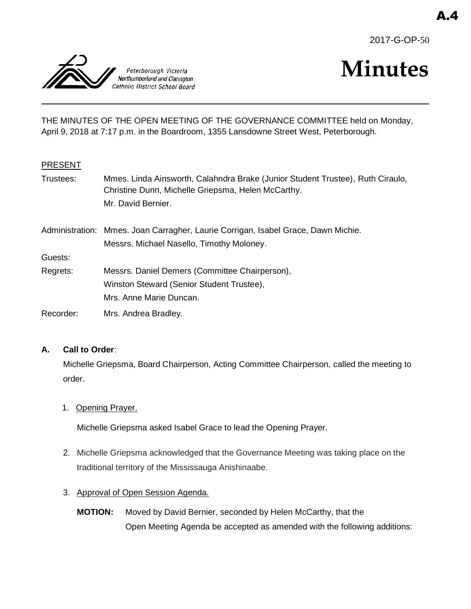



# **Minutes**

THE MINUTES OF THE OPEN MEETING OF THE GOVERNANCE COMMITTEE held on Monday, April 9, 2018 at 7:17 p.m. in the Boardroom, 1355 Lansdowne Street West, Peterborough.

## PRESENT

| Trustees: | Mmes. Linda Ainsworth, Calahndra Brake (Junior Student Trustee), Ruth Ciraulo,<br>Christine Dunn, Michelle Griepsma, Helen McCarthy. |
|-----------|--------------------------------------------------------------------------------------------------------------------------------------|
|           | Mr. David Bernier.                                                                                                                   |
|           | Administration: Mmes. Joan Carragher, Laurie Corrigan, Isabel Grace, Dawn Michie.                                                    |
|           | Messrs. Michael Nasello, Timothy Moloney.                                                                                            |
| Guests:   |                                                                                                                                      |
| Regrets:  | Messrs. Daniel Demers (Committee Chairperson),                                                                                       |
|           | Winston Steward (Senior Student Trustee),                                                                                            |
|           | Mrs. Anne Marie Duncan.                                                                                                              |
| Recorder: | Mrs. Andrea Bradley.                                                                                                                 |
|           |                                                                                                                                      |

# **A. Call to Order**:

Michelle Griepsma, Board Chairperson, Acting Committee Chairperson, called the meeting to order.

1. Opening Prayer.

Michelle Griepsma asked Isabel Grace to lead the Opening Prayer.

- 2. Michelle Griepsma acknowledged that the Governance Meeting was taking place on the traditional territory of the Mississauga Anishinaabe.
- 3. Approval of Open Session Agenda.
	- **MOTION:** Moved by David Bernier, seconded by Helen McCarthy, that the Open Meeting Agenda be accepted as amended with the following additions: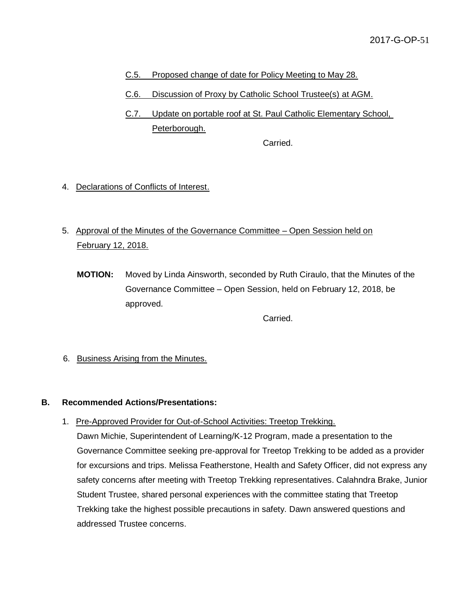- C.5. Proposed change of date for Policy Meeting to May 28.
- C.6. Discussion of Proxy by Catholic School Trustee(s) at AGM.
- C.7. Update on portable roof at St. Paul Catholic Elementary School, Peterborough.

Carried.

- 4. Declarations of Conflicts of Interest.
- 5. Approval of the Minutes of the Governance Committee Open Session held on February 12, 2018.
	- **MOTION:** Moved by Linda Ainsworth, seconded by Ruth Ciraulo, that the Minutes of the Governance Committee – Open Session, held on February 12, 2018, be approved.

Carried.

6. Business Arising from the Minutes.

#### **B. Recommended Actions/Presentations:**

1. Pre-Approved Provider for Out-of-School Activities: Treetop Trekking.

Dawn Michie, Superintendent of Learning/K-12 Program, made a presentation to the Governance Committee seeking pre-approval for Treetop Trekking to be added as a provider for excursions and trips. Melissa Featherstone, Health and Safety Officer, did not express any safety concerns after meeting with Treetop Trekking representatives. Calahndra Brake, Junior Student Trustee, shared personal experiences with the committee stating that Treetop Trekking take the highest possible precautions in safety. Dawn answered questions and addressed Trustee concerns.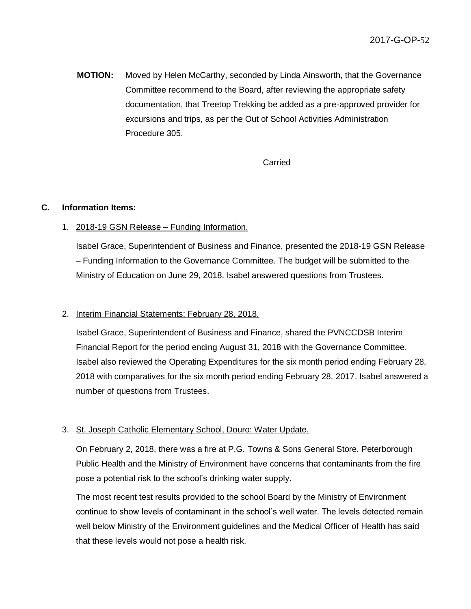**MOTION:** Moved by Helen McCarthy, seconded by Linda Ainsworth, that the Governance Committee recommend to the Board, after reviewing the appropriate safety documentation, that Treetop Trekking be added as a pre-approved provider for excursions and trips, as per the Out of School Activities Administration Procedure 305.

#### Carried

#### **C. Information Items:**

## 1. 2018-19 GSN Release – Funding Information.

Isabel Grace, Superintendent of Business and Finance, presented the 2018-19 GSN Release – Funding Information to the Governance Committee. The budget will be submitted to the Ministry of Education on June 29, 2018. Isabel answered questions from Trustees.

#### 2. Interim Financial Statements: February 28, 2018.

Isabel Grace, Superintendent of Business and Finance, shared the PVNCCDSB Interim Financial Report for the period ending August 31, 2018 with the Governance Committee. Isabel also reviewed the Operating Expenditures for the six month period ending February 28, 2018 with comparatives for the six month period ending February 28, 2017. Isabel answered a number of questions from Trustees.

# 3. St. Joseph Catholic Elementary School, Douro: Water Update.

On February 2, 2018, there was a fire at P.G. Towns & Sons General Store. Peterborough Public Health and the Ministry of Environment have concerns that contaminants from the fire pose a potential risk to the school's drinking water supply.

The most recent test results provided to the school Board by the Ministry of Environment continue to show levels of contaminant in the school's well water. The levels detected remain well below Ministry of the Environment guidelines and the Medical Officer of Health has said that these levels would not pose a health risk.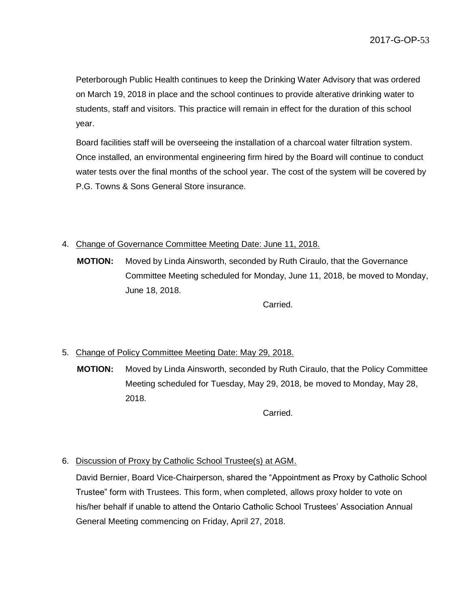Peterborough Public Health continues to keep the Drinking Water Advisory that was ordered on March 19, 2018 in place and the school continues to provide alterative drinking water to students, staff and visitors. This practice will remain in effect for the duration of this school year.

Board facilities staff will be overseeing the installation of a charcoal water filtration system. Once installed, an environmental engineering firm hired by the Board will continue to conduct water tests over the final months of the school year. The cost of the system will be covered by P.G. Towns & Sons General Store insurance.

## 4. Change of Governance Committee Meeting Date: June 11, 2018.

**MOTION:** Moved by Linda Ainsworth, seconded by Ruth Ciraulo, that the Governance Committee Meeting scheduled for Monday, June 11, 2018, be moved to Monday, June 18, 2018.

Carried.

# 5. Change of Policy Committee Meeting Date: May 29, 2018.

**MOTION:** Moved by Linda Ainsworth, seconded by Ruth Ciraulo, that the Policy Committee Meeting scheduled for Tuesday, May 29, 2018, be moved to Monday, May 28, 2018.

Carried.

# 6. Discussion of Proxy by Catholic School Trustee(s) at AGM.

David Bernier, Board Vice-Chairperson, shared the "Appointment as Proxy by Catholic School Trustee" form with Trustees. This form, when completed, allows proxy holder to vote on his/her behalf if unable to attend the Ontario Catholic School Trustees' Association Annual General Meeting commencing on Friday, April 27, 2018.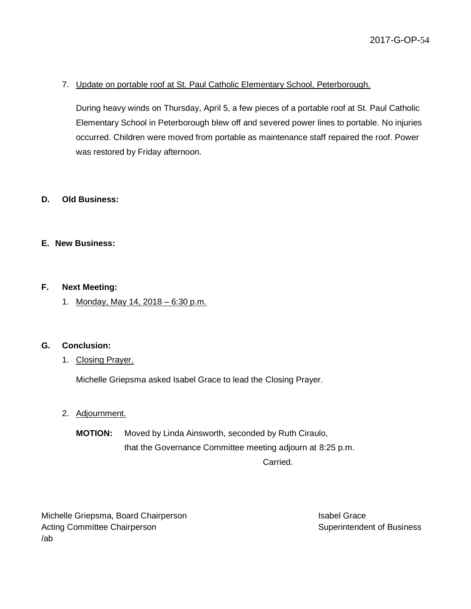# 7. Update on portable roof at St. Paul Catholic Elementary School, Peterborough.

During heavy winds on Thursday, April 5, a few pieces of a portable roof at St. Paul Catholic Elementary School in Peterborough blew off and severed power lines to portable. No injuries occurred. Children were moved from portable as maintenance staff repaired the roof. Power was restored by Friday afternoon.

## **D. Old Business:**

#### **E. New Business:**

#### **F. Next Meeting:**

1. Monday, May 14, 2018 – 6:30 p.m.

#### **G. Conclusion:**

1. Closing Prayer.

Michelle Griepsma asked Isabel Grace to lead the Closing Prayer.

- 2. Adjournment.
	- **MOTION:** Moved by Linda Ainsworth, seconded by Ruth Ciraulo, that the Governance Committee meeting adjourn at 8:25 p.m.

Carried.

Michelle Griepsma, Board Chairperson **Isabel Grace** Isabel Grace Acting Committee Chairperson **Superintendent of Business** Superintendent of Business /ab